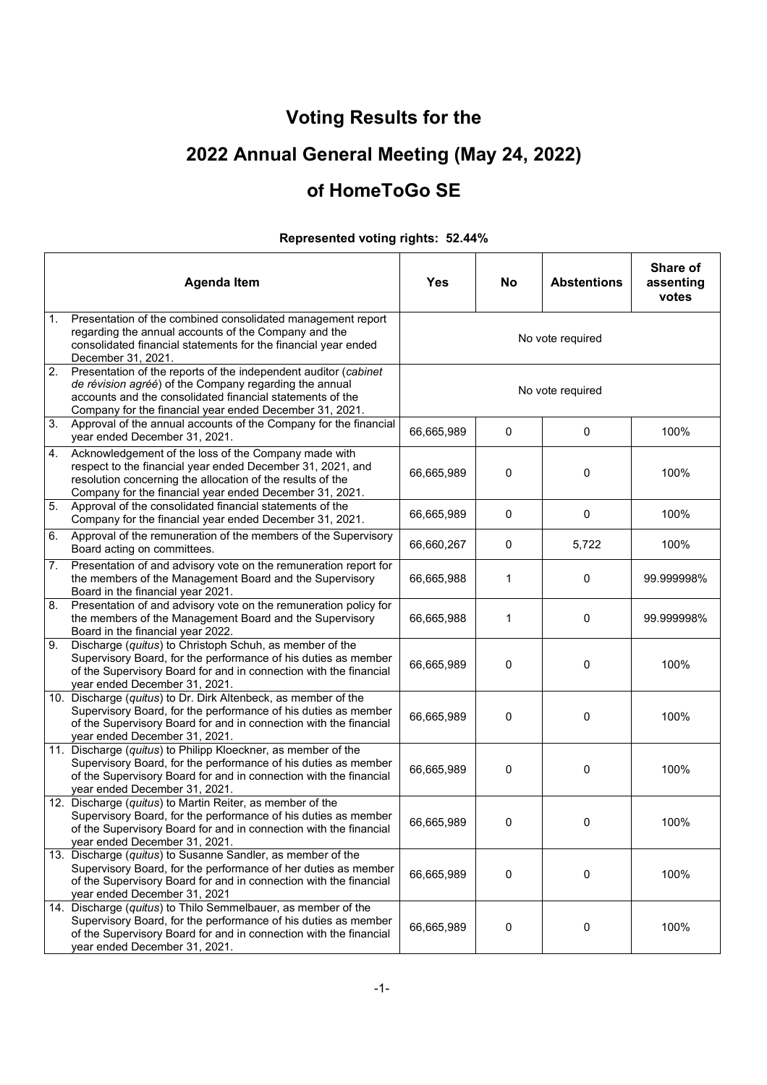**Voting Results for the** 

# **2022 Annual General Meeting (May 24, 2022)**

#### **of HomeToGo SE**

|    | <b>Agenda Item</b>                                                                                                                                                                                                                                | Yes              | No          | <b>Abstentions</b> | Share of<br>assenting<br>votes |  |
|----|---------------------------------------------------------------------------------------------------------------------------------------------------------------------------------------------------------------------------------------------------|------------------|-------------|--------------------|--------------------------------|--|
| 1. | Presentation of the combined consolidated management report<br>regarding the annual accounts of the Company and the<br>consolidated financial statements for the financial year ended<br>December 31, 2021.                                       | No vote required |             |                    |                                |  |
| 2. | Presentation of the reports of the independent auditor (cabinet<br>de révision agréé) of the Company regarding the annual<br>accounts and the consolidated financial statements of the<br>Company for the financial year ended December 31, 2021. | No vote required |             |                    |                                |  |
| 3. | Approval of the annual accounts of the Company for the financial<br>year ended December 31, 2021.                                                                                                                                                 | 66,665,989       | $\mathbf 0$ | 0                  | 100%                           |  |
| 4. | Acknowledgement of the loss of the Company made with<br>respect to the financial year ended December 31, 2021, and<br>resolution concerning the allocation of the results of the<br>Company for the financial year ended December 31, 2021.       | 66,665,989       | 0           | 0                  | 100%                           |  |
| 5. | Approval of the consolidated financial statements of the<br>Company for the financial year ended December 31, 2021.                                                                                                                               | 66,665,989       | 0           | 0                  | 100%                           |  |
| 6. | Approval of the remuneration of the members of the Supervisory<br>Board acting on committees.                                                                                                                                                     | 66,660,267       | 0           | 5,722              | 100%                           |  |
| 7. | Presentation of and advisory vote on the remuneration report for<br>the members of the Management Board and the Supervisory<br>Board in the financial year 2021.                                                                                  | 66,665,988       | 1           | 0                  | 99.999998%                     |  |
| 8. | Presentation of and advisory vote on the remuneration policy for<br>the members of the Management Board and the Supervisory<br>Board in the financial year 2022.                                                                                  | 66,665,988       | 1           | 0                  | 99.999998%                     |  |
| 9. | Discharge (quitus) to Christoph Schuh, as member of the<br>Supervisory Board, for the performance of his duties as member<br>of the Supervisory Board for and in connection with the financial<br>year ended December 31, 2021.                   | 66,665,989       | 0           | 0                  | 100%                           |  |
|    | 10. Discharge (quitus) to Dr. Dirk Altenbeck, as member of the<br>Supervisory Board, for the performance of his duties as member<br>of the Supervisory Board for and in connection with the financial<br>year ended December 31, 2021.            | 66,665,989       | 0           | 0                  | 100%                           |  |
|    | 11. Discharge (quitus) to Philipp Kloeckner, as member of the<br>Supervisory Board, for the performance of his duties as member<br>of the Supervisory Board for and in connection with the financial<br>year ended December 31, 2021.             | 66,665,989       | 0           | 0                  | 100%                           |  |
|    | 12. Discharge (quitus) to Martin Reiter, as member of the<br>Supervisory Board, for the performance of his duties as member<br>of the Supervisory Board for and in connection with the financial<br>year ended December 31, 2021.                 | 66,665,989       | 0           | 0                  | 100%                           |  |
|    | 13. Discharge (quitus) to Susanne Sandler, as member of the<br>Supervisory Board, for the performance of her duties as member<br>of the Supervisory Board for and in connection with the financial<br>year ended December 31, 2021                | 66,665,989       | $\mathbf 0$ | 0                  | 100%                           |  |
|    | 14. Discharge (quitus) to Thilo Semmelbauer, as member of the<br>Supervisory Board, for the performance of his duties as member<br>of the Supervisory Board for and in connection with the financial<br>year ended December 31, 2021.             | 66,665,989       | 0           | 0                  | 100%                           |  |

#### **Represented voting rights: 52.44%**